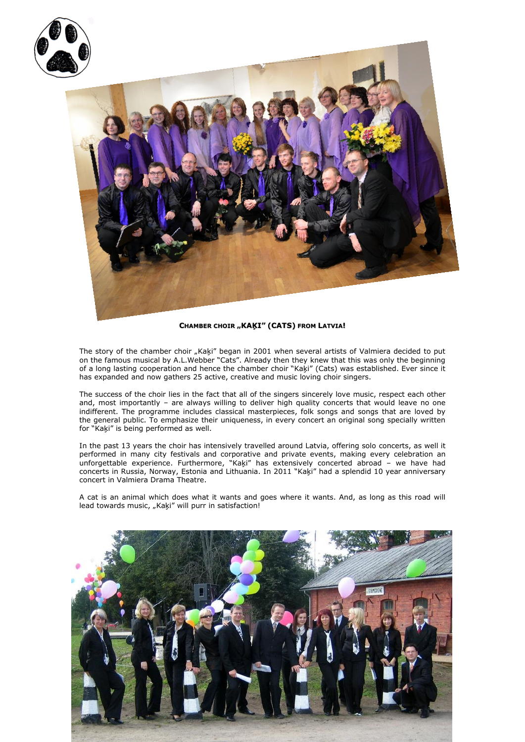

## **CHAMBER CHOIR "KAĶI" (CATS) FROM LATVIA!**

The story of the chamber choir "Kaķi" began in 2001 when several artists of Valmiera decided to put on the famous musical by A.L.Webber "Cats". Already then they knew that this was only the beginning of a long lasting cooperation and hence the chamber choir "Kaķi" (Cats) was established. Ever since it has expanded and now gathers 25 active, creative and music loving choir singers.

The success of the choir lies in the fact that all of the singers sincerely love music, respect each other and, most importantly – are always willing to deliver high quality concerts that would leave no one indifferent. The programme includes classical masterpieces, folk songs and songs that are loved by the general public. To emphasize their uniqueness, in every concert an original song specially written for "Kaķi" is being performed as well.

In the past 13 years the choir has intensively travelled around Latvia, offering solo concerts, as well it performed in many city festivals and corporative and private events, making every celebration an unforgettable experience. Furthermore, "Kaķi" has extensively concerted abroad – we have had concerts in Russia, Norway, Estonia and Lithuania. In 2011 "Kaķi" had a splendid 10 year anniversary concert in Valmiera Drama Theatre.

A cat is an animal which does what it wants and goes where it wants. And, as long as this road will lead towards music, "Kaķi" will purr in satisfaction!